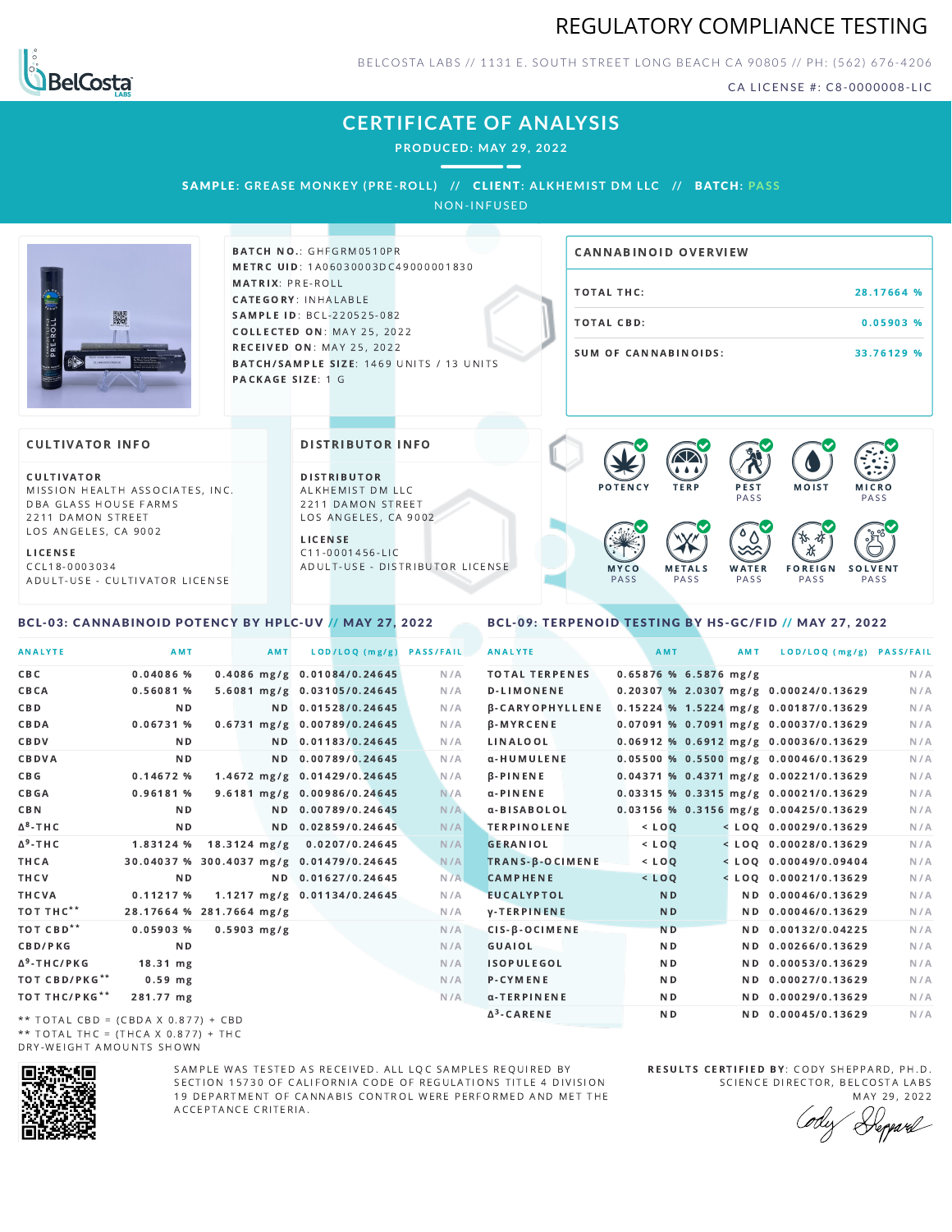



BELCOSTA LABS // 1131 E. SOUTH STREET LONG BEACH C A 90805 // PH: (562) 676-4206

CA LICENSE #: C8-0000008-LIC

MOIST MICRO

F O R E I G N **PASS** 

祅

**PASS** 

**SOLVENT PASS** 

# **CERTIFICATE OF ANALYSIS**

**PRODUCED: MAY 29, 2022**

### SAMPLE: GREASE MONKEY (PRE-ROLL) // CLIENT: ALKHEMIST DM LLC // BATCH: PASS

NON-INFUSED



**BATCH NO.: GHFGRM0510PR** METRC UID: 1A06030003DC49000001830 MATRIX: PRE-ROLL CATEGORY: INHALABLE SAMPLE ID: BCL-220525-082 COLLECTED ON: MAY 25, 2022 **RECEIVED ON: MAY 25, 2022** BATCH/SAMPLE SIZE: 1469 UNITS / 13 UNITS PACKAGE SIZE: 1 G

DISTRIBUTOR INFO

D I STRIBUTOR ALKHEMIST DM LLC 2211 DAMON STREET LOS ANGELES, CA 9002

A D U L T - U S E - D I STRI B U T O R LICENSE

L I C E N S E C 1 1 - 0 0 0 1 4 5 6 - L I C

# TOTAL THC: 28.17664 % TOTAL CBD: 0.05903 % SUM OF CANNABINOIDS: 33.76129 % CANNABINOID OVERVIEW

**PFST PASS** 

 $\bullet$  60 60 60 60

**WATER** PA S S

### **CULTIVATOR INFO**

CULTIVATOR MISSION HEALTH ASSOCIATES, INC. DBA GLASS HOUSE FARMS 2211 DAMON STREET LOS ANGELES, CA 9002

L I C E N S E C C L 1 8 - 0 0 0 3 0 3 4 A D U L T - U S E - C U L T I V A T O R L I CENSE

### <span id="page-0-0"></span>BCL-03: CANNABINOID POTENCY BY HPLC-UV // MAY 27, 2022

<span id="page-0-1"></span>BCL-09: TERPENOID TESTING BY HS-GC/FID // MAY 27, 2022

M F T A L S PA S S

M Y C O PA S S

| <b>ANALYTE</b>                        | AMT                                      | AMT                    | LOD/LOQ (mg/g)                  | <b>PASS/FAIL</b> | <b>ANALYTE</b>         |  | AMT            |                         | AMT | LOD/LOQ (mg/g) PASS/FAIL                |     |
|---------------------------------------|------------------------------------------|------------------------|---------------------------------|------------------|------------------------|--|----------------|-------------------------|-----|-----------------------------------------|-----|
| CBC                                   | $0.04086$ %                              |                        | $0.4086$ mg/g $0.01084/0.24645$ | N/A              | <b>TOTAL TERPENES</b>  |  |                | $0.65876$ % 6.5876 mg/g |     |                                         | N/A |
| CBCA                                  | 0.56081%                                 |                        | 5.6081 mg/g 0.03105/0.24645     | N/A              | <b>D-LIMONENE</b>      |  |                |                         |     | 0.20307 % 2.0307 mg/g 0.00024/0.13629   | N/A |
| CBD                                   | N <sub>D</sub>                           |                        | ND 0.01528/0.24645              | N/A              | <b>B-CARYOPHYLLENE</b> |  |                |                         |     | 0.15224 % 1.5224 mg/g 0.00187/0.13629   | N/A |
| CBDA                                  | 0.06731%                                 |                        | 0.6731 mg/g 0.00789/0.24645     | N/A              | <b>B-MYRCENE</b>       |  |                |                         |     | 0.07091 % 0.7091 mg/g 0.00037/0.13629   | N/A |
| CBDV                                  | N D                                      |                        | ND 0.01183/0.24645              | N/A              | LINALOOL               |  |                |                         |     | $0.06912$ % 0.6912 mg/g 0.00036/0.13629 | N/A |
| CBDVA                                 | N <sub>D</sub>                           |                        | ND 0.00789/0.24645              | N/A              | α-HUMULENE             |  |                |                         |     | $0.05500$ % 0.5500 mg/g 0.00046/0.13629 | N/A |
| C B G                                 | 0.14672%                                 |                        | 1.4672 mg/g 0.01429/0.24645     | N/A              | <b>B-PINENE</b>        |  |                |                         |     | 0.04371 % 0.4371 mg/g 0.00221/0.13629   | N/A |
| CBGA                                  | 0.96181 %                                |                        | 9.6181 mg/g 0.00986/0.24645     | N/A              | $\alpha$ -PINENE       |  |                |                         |     | 0.03315 % 0.3315 mg/g 0.00021/0.13629   | N/A |
| <b>CBN</b>                            | N <sub>D</sub>                           |                        | ND 0.00789/0.24645              | N/A              | α-BISABOLOL            |  |                |                         |     | $0.03156$ % 0.3156 mg/g 0.00425/0.13629 | N/A |
| $\Delta$ <sup>8</sup> -THC            | N <sub>D</sub>                           |                        | ND 0.02859/0.24645              | N/A              | <b>TERPINOLENE</b>     |  | $<$ $LOO$      |                         |     | $<$ LOQ 0.00029/0.13629                 | N/A |
| $\Delta^9$ -THC                       | 1.83124 %                                | $18.3124 \text{ mg/g}$ | 0.0207/0.24645                  | N/A              | <b>GERANIOL</b>        |  | $<$ $LOQ$      |                         |     | $<$ LOO 0.00028/0.13629                 | N/A |
| THCA                                  | 30.04037 % 300.4037 mg/g 0.01479/0.24645 |                        |                                 | N/A              | TRANS-B-OCIMENE        |  | $<$ $LOO$      |                         |     | $<$ LOO 0.00049/0.09404                 | N/A |
| THCV                                  | N <sub>D</sub>                           |                        | ND 0.01627/0.24645              | N/A              | <b>CAMPHENE</b>        |  | $<$ LOQ        |                         |     | $<$ LOQ 0.00021/0.13629                 | N/A |
| THCVA                                 | 0.11217%                                 |                        | 1.1217 mg/g 0.01134/0.24645     | N/A              | <b>EUCALYPTOL</b>      |  | N <sub>D</sub> |                         |     | ND 0.00046/0.13629                      | N/A |
| тот тнс**                             | 28.17664 % 281.7664 mg/g                 |                        |                                 | N/A              | <b>V-TERPINENE</b>     |  | N <sub>D</sub> |                         |     | ND 0.00046/0.13629                      | N/A |
| TOT CBD <sup>**</sup>                 | $0.05903$ %                              | $0.5903$ mg/g          |                                 | N/A              | CIS-B-OCIMENE          |  | <b>ND</b>      |                         |     | ND 0.00132/0.04225                      | N/A |
| CBD/PKG                               | N <sub>D</sub>                           |                        |                                 | N/A              | GUAIOL                 |  | N <sub>D</sub> |                         |     | ND 0.00266/0.13629                      | N/A |
| Δ <sup>9</sup> -THC/PKG               | $18.31$ mg                               |                        |                                 | N/A              | <b>ISOPULEGOL</b>      |  | N <sub>D</sub> |                         |     | ND 0.00053/0.13629                      | N/A |
| TOT CBD/PKG**                         | $0.59$ mg                                |                        |                                 | N/A              | P-CYMENE               |  | N <sub>D</sub> |                         |     | ND 0.00027/0.13629                      | N/A |
| TOT THC/PKG**                         | 281.77 mg                                |                        |                                 | N/A              | α-TERPINENE            |  | ND.            |                         |     | ND 0.00029/0.13629                      | N/A |
| $**$ TOTAL CRD = (CRDA V 0.077) + CRD |                                          |                        |                                 |                  | $\Delta^3$ -CARENE     |  | N <sub>D</sub> |                         |     | ND 0.00045/0.13629                      | N/A |

\*\* TOTAL CBD =  $(CBDA X 0.877) + CBD$ \*\* TOTAL THC = (THCA X  $0.877$ ) + THC DRY-WEIGHT AMOUNTS SHOWN



SAMPLE WAS TESTED AS RECEIVED. ALL LOC SAMPLES REQUIRED BY SECTION 15730 OF CALIFORNIA CODE OF REGULATIONS TITLE 4 DIVISION 19 DEPARTMENT OF CANNABIS CONTROL WERE PERFORMED AND MET THE A C C E P T A N C E C R I T E R I A.

RESULTS CERTIFIED BY: CODY SHEPPARD, PH.D. SCIENCE DIRECTOR, BELCOSTA LABS

MAY 29, 2022 <sup>K</sup>eppard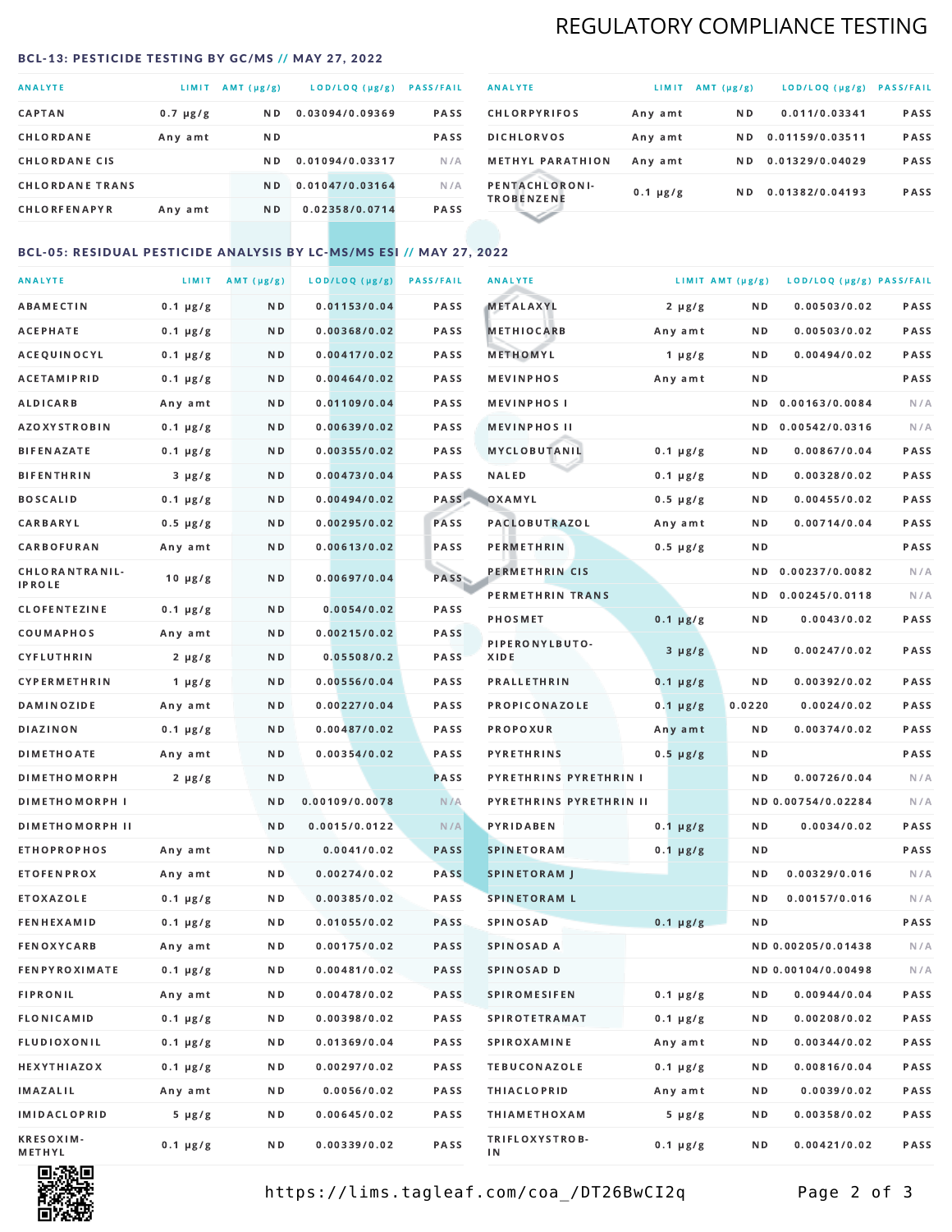# REGULATORY COMPLIANCE TESTING

### <span id="page-1-0"></span>BCL-13: PESTICIDE TESTING BY GC/MS // MAY 27, 2022

| <b>ANALYTE</b>         | <b>LIMIT</b>  | AMT (µg/g)     | LOD/LOQ (µg/g)  | <b>PASS/FAIL</b> |
|------------------------|---------------|----------------|-----------------|------------------|
| <b>CAPTAN</b>          | $0.7 \mu g/g$ | ND.            | 0.03094/0.09369 | PASS             |
| CHLORDANE              | Any amt       | ND.            |                 | <b>PASS</b>      |
| <b>CHLORDANE CIS</b>   |               | ND.            | 0.01094/0.03317 | N/A              |
| <b>CHLORDANE TRANS</b> |               | N <sub>D</sub> | 0.01047/0.03164 | N/A              |
| <b>CHLORFENAPYR</b>    | Any amt       | N D            | 0.02358/0.0714  | <b>PASS</b>      |

| <b>ANALYTE</b>                      | LIMIT         | $AMT(\mu g/g)$ | LOD/LOQ (µg/g)  | <b>PASS/FAIL</b> |
|-------------------------------------|---------------|----------------|-----------------|------------------|
| <b>CHLORPYRIFOS</b>                 | Any amt       | N D            | 0.011/0.03341   | <b>PASS</b>      |
| <b>DICHLORVOS</b>                   | Any amt       | N D.           | 0.01159/0.03511 | PASS             |
| <b>METHYL PARATHION</b>             | Any amt       | ND.            | 0.01329/0.04029 | <b>PASS</b>      |
| PENTACHLORONI-<br><b>TROBENZENE</b> | $0.1 \mu g/g$ | ND.            | 0.01382/0.04193 | <b>PASS</b>      |
|                                     |               |                |                 |                  |

### BCL-05: RESIDUAL PESTICIDE ANALYSIS BY LC-MS/MS ESI // MAY 27, 2022

| <b>ANALYTE</b>         |               | LIMIT $AMT (\mu g/g)$ | LOD/LOQ (µg/g) | <b>PASS/FAIL</b> | <b>ANALYTE</b>                |               | LIMIT AMT (µg/g) | LOD/LOQ (µg/g) PASS/FAIL |      |
|------------------------|---------------|-----------------------|----------------|------------------|-------------------------------|---------------|------------------|--------------------------|------|
| <b>ABAMECTIN</b>       | $0.1 \mu g/g$ | N D                   | 0.01153/0.04   | PASS             | <b>METALAXYL</b>              | $2 \mu g/g$   | N D              | 0.00503/0.02             | PASS |
| <b>ACEPHATE</b>        | $0.1 \mu g/g$ | N D                   | 0.00368/0.02   | <b>PASS</b>      | <b>METHIOCARB</b>             | Any amt       | N D              | 0.00503/0.02             | PASS |
| ACEQUINOCYL            | $0.1 \mu g/g$ | N D                   | 0.00417/0.02   | PASS             | METHOMYL                      | $1 \mu g/g$   | N D              | 0.00494/0.02             | PASS |
| <b>ACETAMIPRID</b>     | $0.1 \mu g/g$ | N D                   | 0.00464/0.02   | PASS             | <b>MEVINPHOS</b>              | Any amt       | N D              |                          | PASS |
| ALDICARB               | Any amt       | N D                   | 0.01109/0.04   | PASS             | <b>MEVINPHOSI</b>             |               | N D              | 0.00163/0.0084           | N/A  |
| <b>AZOXYSTROBIN</b>    | $0.1 \mu g/g$ | N D                   | 0.00639/0.02   | PASS             | <b>MEVINPHOS II</b>           |               | N D              | 0.00542/0.0316           | N/A  |
| <b>BIFENAZATE</b>      | $0.1 \mu g/g$ | N D                   | 0.00355/0.02   | PASS             | <b>MYCLOBUTANIL</b>           | $0.1 \mu g/g$ | N D              | 0.00867/0.04             | PASS |
| <b>BIFENTHRIN</b>      | $3 \mu g/g$   | N D                   | 0.00473/0.04   | PASS             | NALED                         | $0.1 \mu g/g$ | N D              | 0.00328/0.02             | PASS |
| <b>BOSCALID</b>        | $0.1 \mu g/g$ | N D                   | 0.00494/0.02   | PASS             | OXAMYL                        | $0.5 \mu g/g$ | N D              | 0.00455/0.02             | PASS |
| CARBARYL               | $0.5 \mu g/g$ | N D                   | 0.00295/0.02   | PASS             | PACLOBUTRAZOL                 | Any amt       | N D              | 0.00714/0.04             | PASS |
| <b>CARBOFURAN</b>      | Any amt       | N D                   | 0.00613/0.02   | PASS             | <b>PERMETHRIN</b>             | $0.5 \mu g/g$ | N D              |                          | PASS |
| CHLORANTRANIL-         |               |                       |                |                  | PERMETHRIN CIS                |               | N D              | 0.00237/0.0082           | N/A  |
| <b>IPROLE</b>          | $10 \mu g/g$  | N D                   | 0.00697/0.04   | <b>PASS</b>      | PERMETHRIN TRANS              |               |                  | ND 0.00245/0.0118        | N/A  |
| <b>CLOFENTEZINE</b>    | $0.1 \mu g/g$ | N D                   | 0.0054/0.02    | PASS             | <b>PHOSMET</b>                | $0.1 \mu g/g$ | N D              | 0.0043/0.02              | PASS |
| COUMAPHOS              | Any amt       | N D                   | 0.00215/0.02   | PASS             | PIPERONYLBUTO-                |               |                  |                          |      |
| <b>CYFLUTHRIN</b>      | $2 \mu g/g$   | N D                   | 0.05508/0.2    | <b>PASS</b>      | XIDE                          | $3 \mu g/g$   | N D              | 0.00247/0.02             | PASS |
| <b>CYPERMETHRIN</b>    | $1 \mu g/g$   | N D                   | 0.00556/0.04   | PASS             | <b>PRALLETHRIN</b>            | $0.1 \mu g/g$ | ND               | 0.00392/0.02             | PASS |
| <b>DAMINOZIDE</b>      | Any amt       | N D                   | 0.00227/0.04   | PASS             | <b>PROPICONAZOLE</b>          | $0.1 \mu g/g$ | 0.0220           | 0.0024/0.02              | PASS |
| <b>DIAZINON</b>        | $0.1 \mu g/g$ | N D                   | 0.00487/0.02   | PASS             | <b>PROPOXUR</b>               | Any amt       | N D              | 0.00374/0.02             | PASS |
| <b>DIMETHOATE</b>      | Any amt       | N D                   | 0.00354/0.02   | PASS             | <b>PYRETHRINS</b>             | $0.5 \mu g/g$ | N D              |                          | PASS |
| <b>DIMETHOMORPH</b>    | $2 \mu g/g$   | N D                   |                | PASS             | <b>PYRETHRINS PYRETHRIN I</b> |               | N D              | 0.00726/0.04             | N/A  |
| <b>DIMETHOMORPH I</b>  |               | N D                   | 0.00109/0.0078 | N/A              | PYRETHRINS PYRETHRIN II       |               |                  | ND 0.00754/0.02284       | N/A  |
| <b>DIMETHOMORPH II</b> |               | N D                   | 0.0015/0.0122  | N/A              | PYRIDABEN                     | $0.1 \mu g/g$ | N D              | 0.0034/0.02              | PASS |
| <b>ETHOPROPHOS</b>     | Any amt       | N D                   | 0.0041/0.02    | <b>PASS</b>      | <b>SPINETORAM</b>             | $0.1 \mu g/g$ | N D              |                          | PASS |
| <b>ETOFENPROX</b>      | Any amt       | N D                   | 0.00274/0.02   | <b>PASS</b>      | <b>SPINETORAM J</b>           |               | N D              | 0.00329/0.016            | N/A  |
| ETOXAZOLE              | $0.1 \mu g/g$ | N D                   | 0.00385/0.02   | <b>PASS</b>      | <b>SPINETORAM L</b>           |               | ND               | 0.00157/0.016            | N/A  |
| <b>FENHEXAMID</b>      | $0.1 \mu g/g$ | N D                   | 0.01055/0.02   | <b>PASS</b>      | <b>SPINOSAD</b>               | $0.1 \mu g/g$ | N D              |                          | PASS |
| <b>FENOXYCARB</b>      | Any amt       | N D                   | 0.00175/0.02   | <b>PASS</b>      | <b>SPINOSAD A</b>             |               |                  | ND 0.00205/0.01438       | N/A  |
| FENPYROXIMATE          | $0.1 \mu g/g$ | N D                   | 0.00481/0.02   | <b>PASS</b>      | SPINOSAD D                    |               |                  | ND 0.00104/0.00498       | N/A  |
| <b>FIPRONIL</b>        | Any amt       | N D                   | 0.00478/0.02   | PASS             | <b>SPIROMESIFEN</b>           | $0.1 \mu g/g$ | ND               | 0.00944/0.04             | PASS |
| <b>FLONICAMID</b>      | $0.1 \mu g/g$ | N D                   | 0.00398/0.02   | PASS             | <b>SPIROTETRAMAT</b>          | $0.1 \mu g/g$ | N D              | 0.00208/0.02             | PASS |
| <b>FLUDIOXONIL</b>     | $0.1 \mu g/g$ | N D                   | 0.01369/0.04   | PASS             | <b>SPIROXAMINE</b>            | Any amt       | N D              | 0.00344/0.02             | PASS |
| <b>HEXYTHIAZOX</b>     | $0.1 \mu g/g$ | N D                   | 0.00297/0.02   | PASS             | <b>TEBUCONAZOLE</b>           | $0.1 \mu g/g$ | N D              | 0.00816/0.04             | PASS |
| IMAZALIL               | Any amt       | N D                   | 0.0056/0.02    | PASS             | <b>THIACLOPRID</b>            | Any amt       | N D              | 0.0039/0.02              | PASS |
| <b>IMIDACLOPRID</b>    | $5 \mu g/g$   | N D                   | 0.00645/0.02   | PASS             | <b>THIAMETHOXAM</b>           | $5 \mu g/g$   | N D              | 0.00358/0.02             | PASS |
| KRESOXIM-<br>METHYL    | $0.1 \mu g/g$ | N D                   | 0.00339/0.02   | PASS             | TRIFLOXYSTROB-<br>ΙN          | $0.1 \mu g/g$ | N D              | 0.00421/0.02             | PASS |